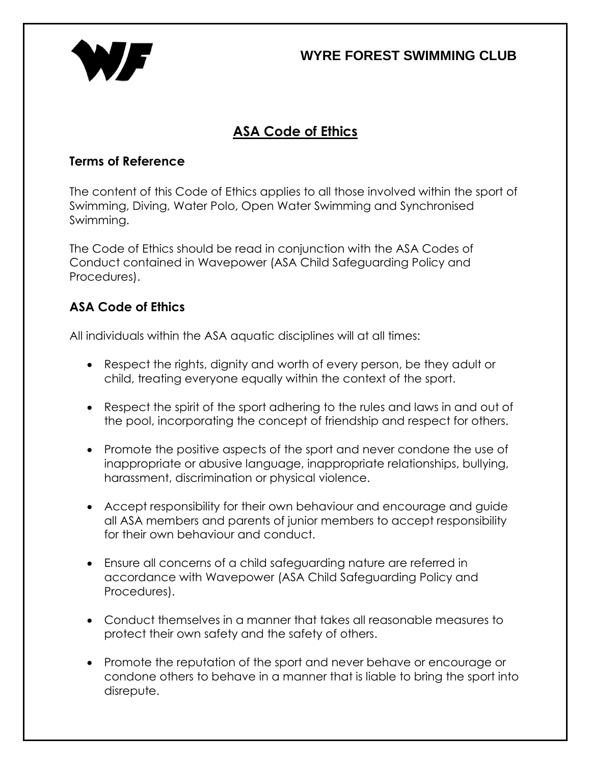## **WYRE FOREST SWIMMING CLUB**



# **ASA Code of Ethics**

#### **Terms of Reference**

The content of this Code of Ethics applies to all those involved within the sport of Swimming, Diving, Water Polo, Open Water Swimming and Synchronised Swimming.

The Code of Ethics should be read in conjunction with the ASA Codes of Conduct contained in Wavepower (ASA Child Safeguarding Policy and Procedures).

### **ASA Code of Ethics**

All individuals within the ASA aquatic disciplines will at all times:

- Respect the rights, dignity and worth of every person, be they adult or child, treating everyone equally within the context of the sport.
- Respect the spirit of the sport adhering to the rules and laws in and out of the pool, incorporating the concept of friendship and respect for others.
- Promote the positive aspects of the sport and never condone the use of inappropriate or abusive language, inappropriate relationships, bullying, harassment, discrimination or physical violence.
- Accept responsibility for their own behaviour and encourage and guide all ASA members and parents of junior members to accept responsibility for their own behaviour and conduct.
- Ensure all concerns of a child safeguarding nature are referred in accordance with Wavepower (ASA Child Safeguarding Policy and Procedures).
- Conduct themselves in a manner that takes all reasonable measures to protect their own safety and the safety of others.
- Promote the reputation of the sport and never behave or encourage or condone others to behave in a manner that is liable to bring the sport into disrepute.